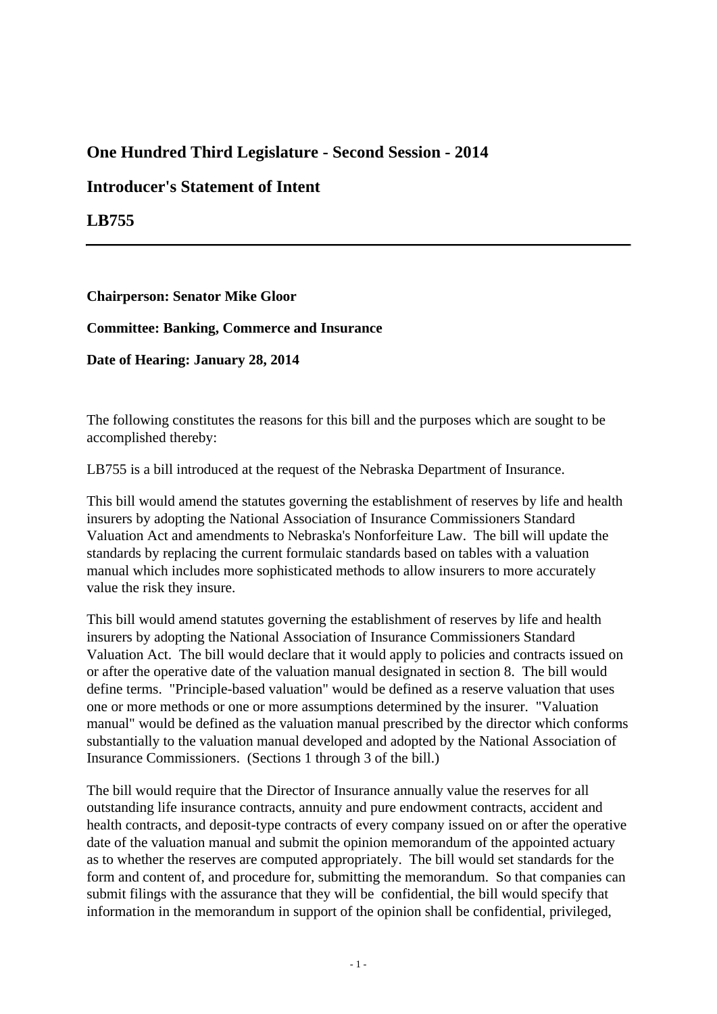## **One Hundred Third Legislature - Second Session - 2014**

## **Introducer's Statement of Intent**

**LB755**

**Chairperson: Senator Mike Gloor**

**Committee: Banking, Commerce and Insurance**

**Date of Hearing: January 28, 2014**

The following constitutes the reasons for this bill and the purposes which are sought to be accomplished thereby:

LB755 is a bill introduced at the request of the Nebraska Department of Insurance.

This bill would amend the statutes governing the establishment of reserves by life and health insurers by adopting the National Association of Insurance Commissioners Standard Valuation Act and amendments to Nebraska's Nonforfeiture Law. The bill will update the standards by replacing the current formulaic standards based on tables with a valuation manual which includes more sophisticated methods to allow insurers to more accurately value the risk they insure.

This bill would amend statutes governing the establishment of reserves by life and health insurers by adopting the National Association of Insurance Commissioners Standard Valuation Act. The bill would declare that it would apply to policies and contracts issued on or after the operative date of the valuation manual designated in section 8. The bill would define terms. "Principle-based valuation" would be defined as a reserve valuation that uses one or more methods or one or more assumptions determined by the insurer. "Valuation manual" would be defined as the valuation manual prescribed by the director which conforms substantially to the valuation manual developed and adopted by the National Association of Insurance Commissioners. (Sections 1 through 3 of the bill.)

The bill would require that the Director of Insurance annually value the reserves for all outstanding life insurance contracts, annuity and pure endowment contracts, accident and health contracts, and deposit-type contracts of every company issued on or after the operative date of the valuation manual and submit the opinion memorandum of the appointed actuary as to whether the reserves are computed appropriately. The bill would set standards for the form and content of, and procedure for, submitting the memorandum. So that companies can submit filings with the assurance that they will be confidential, the bill would specify that information in the memorandum in support of the opinion shall be confidential, privileged,